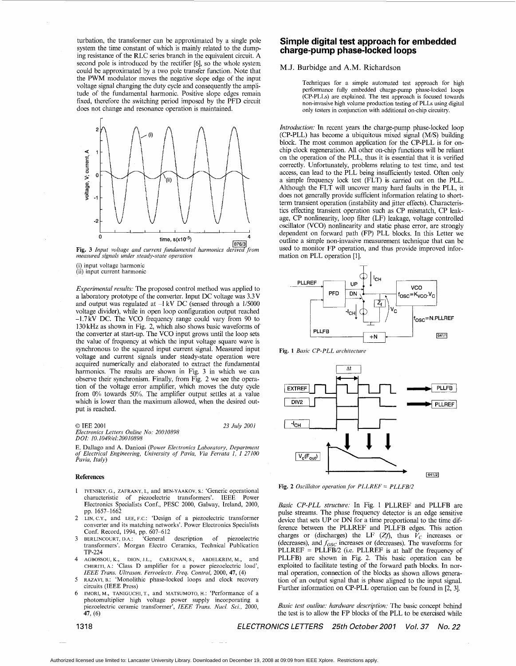<span id="page-0-0"></span>turbation, the transformer can be approximated by a single pole system the time constant of which is mainly related to the dumping resistance of the RLC series branch in the equivalent circuit. A second pole is introduced by the rectifier [6], so the whole system could be approximated by a two pole transfer function. Note that the PWM modulator moves the negative slope edge of the input voltage signal changing the duty cycle and consequently the amplitude of the fundamental harmonic. Positive slope edges remain fixed, therefore the switching period imposed by the PFD circuit does not change and resonance operation is maintained.



*measured signals under steady-state operation*  **[Fig.](#page-1-0) 3** *Input voltage and current jundamentul harmonics* 

(i) input voltage harmonic (ii) input current harmonic

*Experimental results:* The proposed control method was applied to a laboratory prototype of the converter. Input DC voltage was 3.3V and output was regulated at **-1** kV DC (sensed through a 1/5000 voltage divider), while in open loop configuration output reached -1.7kV DC. The VCO frequency range could vary from 90 to 130 kHz as shown in Fig. 2, which also shows basic waveforms of the converter at start-up. The VCO input grows until the loop sets the value of frequency at which the input voltage square wave is synchronous to the squared input current signal. Measured input voltage and current signals under steady-state operation were acquired numerically and elaborated to extract the fundamental harmonics. The results are shown in [Fig. 3](#page-1-0) in which we can observe their synchronism. Finally, from Fig. 2 we see the operation of the voltage error amplifier, which moves the duty cycle from 0% towards 50%. The amplifier output settles at a value which is lower than the maximum allowed, when the desired output is reached.

*0* IEE 2001 *23 July 2001* 1 **-'CH** 1 I *Electronics Letters Online No: 20010898 D 01: 10.1049/el:200 I0898* 

E. Dallago and **A.** Danioni *(Power Electronics Laboratory. Department of Electrical Engineering, University of Pavia, Via Ferrnta 1, I 27100 Pavia, Italy)* 

#### **References**

- 1 IVENSKY, G., ZAFRANY, I., and BEN-YAAKOV, s.: 'Generic operational characteristic of piezoelectric transformers'. IEEE Power Electronics Specialists Conf., PESC 2000, Galway, Ireland, 2000, pp. 1657-1662
- 2 LIN, C.Y., and LEE, F.C.: 'Design of a piezoelectric transformer converter and its matching networks'. Power Electronics Specialists Conf. Record, 1994, pp. 607-612
- **3** BERLINCOURT, D.A.: 'General description of piezoelectric transformers'. Morgan Electro Ceramics, Technical Publication TP-224
- 4 AGBOSSOU, K., DION, J.L., CARIGNAN, s., ABDELKRIM, M., and CHERITI, A.: 'Class D amplifier for a power piezoelectric load', *IEEE Trans. Ultrason. Ferroelectr. Freq. Control,* 2000, **47,** (4)
- *<sup>5</sup>*RAZAVI, B.: 'Monolithic phase-locked loops and clock recovery circuits (IEEE Press)<br>IMORI, M., TANIGUCHI, T., and MATSUMOTO, H.: 'Performance of a
- 6 IMORI, M., TANIGUCHI, T., and MATSUMOTO, H.: 'Performance of a photomultiplier high voltage power supply incorporating a piezoelectric ceramic transformer', *IEEE Trans. NucI. Sci.,* 2000, **47,** (6)

# **Simple digital test approach for embedded charge-pump p hase-loc ked loops**

## M.J. Burbidge and **A.M.** Richardson

Techniques for a simple automated test approach for high performance fully embedded charge-pump phase-locked loops (CP-PLLs) are explained. The test approach is focused towards non-invasive high volume production testing of PLLs using digital only testers in conjunction with additional on-chip circuitry.

*Introduction:* In recent years the charge-pump phase-locked loop  $(CP-PLL)$  has become a ubiquitous mixed signal  $(M/S)$  building block. The most common application for the CP-PLL is for onchip clock regeneration. All other on-chip functions will be reliant on the operation of the PLL, thus it is essential that it is verified correctly. Unfortunately, problems relating to test time, and test access, can lead to the PLL being insufficiently tested. Often only a simple frequency lock test (FLT) is carried out on the PLL. Although the FLT will uncover many hard faults in the PLL, it does not generally provide sufficient information relating to shortterm transient operation (instability and jitter effects). Characteristics effecting transient operation such as CP mismatch, CP leakage, CP nonlinearity, loop filter (LF) leakage, voltage controlled oscillator (VCO) nonlinearity and static phase error, are strongly dependent on forward path (FP) PLL blocks. In this Letter we outline a simple non-invasive measurement technique that can be used to monitor FP operation, and thus provide improved information on PLL operation [l].



**Fig. 1** *Basic CP-PLL architecture* 



**Fig. 2** *Oscilla'tor operation for PLLREF* = *PLLFB/2* 

*Basic CP-PLL structure:* In Fig. 1 PLLREF and PLLFB are pulse streams. The phase frequency detector is an edge sensitive device that sets UP or DN for a time proportional to the time difference between the PLLREF and PLLFB edges. This action charges or (discharges) the LF  $(Zf)$ , thus  $V_C$  increases or (decreases), and  $f_{OSC}$  increases or (decreases). The waveforms for PLLREF = PLLFB/2 (i.e. PLLREF is at half the frequency of PLLFB) are shown in Fig. 2. This basic operation can be exploited to facilitate testing of the forward path blocks. In normal operation, connection of the blocks as shown allows generation of an output signal that is phase aligned to the input signal. Further information on CP-PLL operation can be found in [2, 31.

*Basic test outline: hardware description: The basic concept behind* the test is to allow the FP blocks of the PLL to be exercised while

1318 *ELECTRONICS LETTERS 25th October2001 Vol. 37 No. 22* 

Authorized licensed use limited to: Lancaster University Library. Downloaded on December 19, 2008 at 09:09 from IEEE Xplore. Restrictions apply.